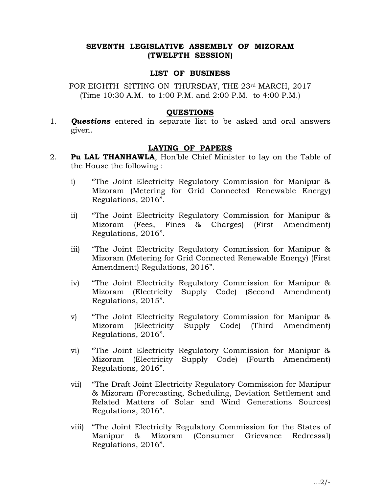# SEVENTH LEGISLATIVE ASSEMBLY OF MIZORAM (TWELFTH SESSION)

### LIST OF BUSINESS

FOR EIGHTH SITTING ON THURSDAY, THE 23rd MARCH, 2017 (Time 10:30 A.M. to 1:00 P.M. and 2:00 P.M. to 4:00 P.M.)

#### QUESTIONS

1. **Questions** entered in separate list to be asked and oral answers given.

## LAYING OF PAPERS

- 2. **Pu LAL THANHAWLA**, Hon'ble Chief Minister to lay on the Table of the House the following :
	- i) "The Joint Electricity Regulatory Commission for Manipur & Mizoram (Metering for Grid Connected Renewable Energy) Regulations, 2016".
	- ii) "The Joint Electricity Regulatory Commission for Manipur & Mizoram (Fees, Fines & Charges) (First Amendment) Regulations, 2016".
	- iii) "The Joint Electricity Regulatory Commission for Manipur & Mizoram (Metering for Grid Connected Renewable Energy) (First Amendment) Regulations, 2016".
	- iv) "The Joint Electricity Regulatory Commission for Manipur & Mizoram (Electricity Supply Code) (Second Amendment) Regulations, 2015".
	- v) "The Joint Electricity Regulatory Commission for Manipur & Mizoram (Electricity Supply Code) (Third Amendment) Regulations, 2016".
	- vi) "The Joint Electricity Regulatory Commission for Manipur & Mizoram (Electricity Supply Code) (Fourth Amendment) Regulations, 2016".
	- vii) "The Draft Joint Electricity Regulatory Commission for Manipur & Mizoram (Forecasting, Scheduling, Deviation Settlement and Related Matters of Solar and Wind Generations Sources) Regulations, 2016".
	- viii) "The Joint Electricity Regulatory Commission for the States of Manipur & Mizoram (Consumer Grievance Redressal) Regulations, 2016".